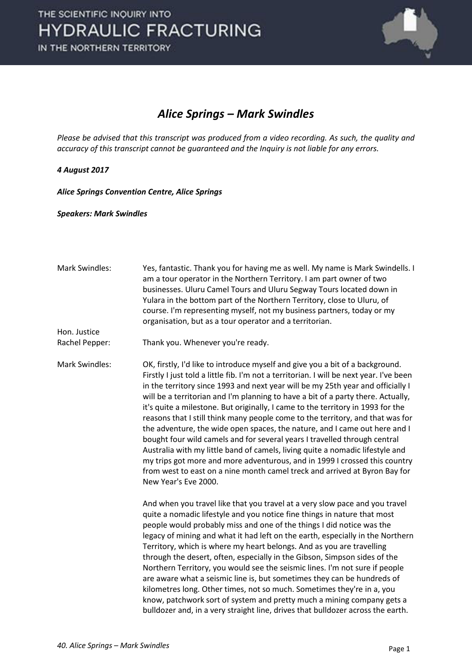

#### *Alice Springs – Mark Swindles*

*Please be advised that this transcript was produced from a video recording. As such, the quality and accuracy of this transcript cannot be guaranteed and the Inquiry is not liable for any errors.* 

#### *4 August 2017*

*Alice Springs Convention Centre, Alice Springs* 

*Speakers: Mark Swindles* 

| <b>Mark Swindles:</b> | Yes, fantastic. Thank you for having me as well. My name is Mark Swindells. I<br>am a tour operator in the Northern Territory. I am part owner of two<br>businesses. Uluru Camel Tours and Uluru Segway Tours located down in<br>Yulara in the bottom part of the Northern Territory, close to Uluru, of<br>course. I'm representing myself, not my business partners, today or my<br>organisation, but as a tour operator and a territorian.                                                                                                                                                                                                                                                                                                                                                                                                                                                                                                        |
|-----------------------|------------------------------------------------------------------------------------------------------------------------------------------------------------------------------------------------------------------------------------------------------------------------------------------------------------------------------------------------------------------------------------------------------------------------------------------------------------------------------------------------------------------------------------------------------------------------------------------------------------------------------------------------------------------------------------------------------------------------------------------------------------------------------------------------------------------------------------------------------------------------------------------------------------------------------------------------------|
| Hon. Justice          |                                                                                                                                                                                                                                                                                                                                                                                                                                                                                                                                                                                                                                                                                                                                                                                                                                                                                                                                                      |
| Rachel Pepper:        | Thank you. Whenever you're ready.                                                                                                                                                                                                                                                                                                                                                                                                                                                                                                                                                                                                                                                                                                                                                                                                                                                                                                                    |
| <b>Mark Swindles:</b> | OK, firstly, I'd like to introduce myself and give you a bit of a background.<br>Firstly I just told a little fib. I'm not a territorian. I will be next year. I've been<br>in the territory since 1993 and next year will be my 25th year and officially I<br>will be a territorian and I'm planning to have a bit of a party there. Actually,<br>it's quite a milestone. But originally, I came to the territory in 1993 for the<br>reasons that I still think many people come to the territory, and that was for<br>the adventure, the wide open spaces, the nature, and I came out here and I<br>bought four wild camels and for several years I travelled through central<br>Australia with my little band of camels, living quite a nomadic lifestyle and<br>my trips got more and more adventurous, and in 1999 I crossed this country<br>from west to east on a nine month camel treck and arrived at Byron Bay for<br>New Year's Eve 2000. |
|                       | And when you travel like that you travel at a very slow pace and you travel<br>quite a nomadic lifestyle and you notice fine things in nature that most<br>people would probably miss and one of the things I did notice was the<br>legacy of mining and what it had left on the earth, especially in the Northern<br>Territory, which is where my heart belongs. And as you are travelling<br>through the desert, often, especially in the Gibson, Simpson sides of the<br>Northern Territory, you would see the seismic lines. I'm not sure if people<br>are aware what a seismic line is, but sometimes they can be hundreds of<br>kilometres long. Other times, not so much. Sometimes they're in a, you<br>know, patchwork sort of system and pretty much a mining company gets a<br>bulldozer and, in a very straight line, drives that bulldozer across the earth.                                                                            |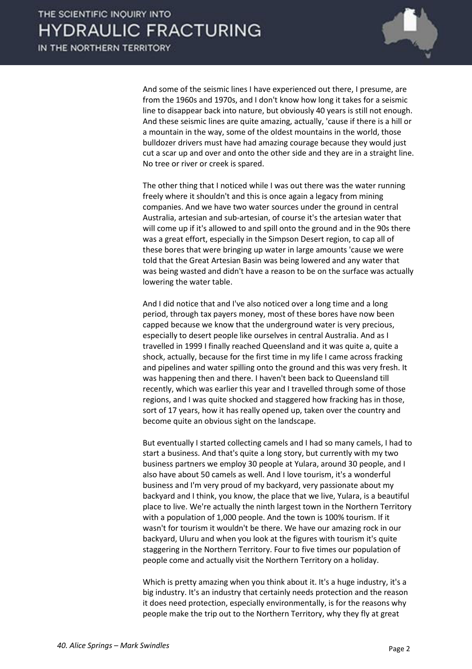

 And some of the seismic lines I have experienced out there, I presume, are from the 1960s and 1970s, and I don't know how long it takes for a seismic line to disappear back into nature, but obviously 40 years is still not enough. And these seismic lines are quite amazing, actually, 'cause if there is a hill or a mountain in the way, some of the oldest mountains in the world, those bulldozer drivers must have had amazing courage because they would just cut a scar up and over and onto the other side and they are in a straight line. No tree or river or creek is spared.

 The other thing that I noticed while I was out there was the water running freely where it shouldn't and this is once again a legacy from mining companies. And we have two water sources under the ground in central Australia, artesian and sub-artesian, of course it's the artesian water that will come up if it's allowed to and spill onto the ground and in the 90s there was a great effort, especially in the Simpson Desert region, to cap all of these bores that were bringing up water in large amounts 'cause we were told that the Great Artesian Basin was being lowered and any water that was being wasted and didn't have a reason to be on the surface was actually lowering the water table.

 And I did notice that and I've also noticed over a long time and a long period, through tax payers money, most of these bores have now been capped because we know that the underground water is very precious, especially to desert people like ourselves in central Australia. And as I travelled in 1999 I finally reached Queensland and it was quite a, quite a shock, actually, because for the first time in my life I came across fracking and pipelines and water spilling onto the ground and this was very fresh. It was happening then and there. I haven't been back to Queensland till recently, which was earlier this year and I travelled through some of those regions, and I was quite shocked and staggered how fracking has in those, sort of 17 years, how it has really opened up, taken over the country and become quite an obvious sight on the landscape.

 But eventually I started collecting camels and I had so many camels, I had to start a business. And that's quite a long story, but currently with my two business partners we employ 30 people at Yulara, around 30 people, and I also have about 50 camels as well. And I love tourism, it's a wonderful business and I'm very proud of my backyard, very passionate about my backyard and I think, you know, the place that we live, Yulara, is a beautiful place to live. We're actually the ninth largest town in the Northern Territory with a population of 1,000 people. And the town is 100% tourism. If it wasn't for tourism it wouldn't be there. We have our amazing rock in our backyard, Uluru and when you look at the figures with tourism it's quite staggering in the Northern Territory. Four to five times our population of people come and actually visit the Northern Territory on a holiday.

 Which is pretty amazing when you think about it. It's a huge industry, it's a big industry. It's an industry that certainly needs protection and the reason it does need protection, especially environmentally, is for the reasons why people make the trip out to the Northern Territory, why they fly at great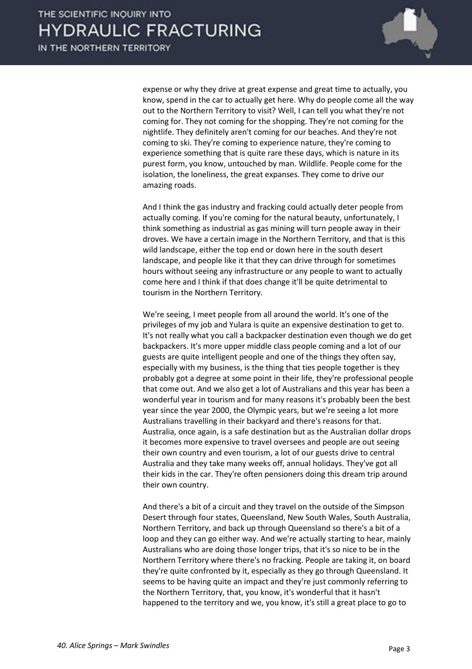

expense or why they drive at great expense and great time to actually, you know, spend in the car to actually get here. Why do people come all the way out to the Northern Territory to visit? Well, I can tell you what they're not coming for. They not coming for the shopping. They're not coming for the nightlife. They definitely aren't coming for our beaches. And they're not coming to ski. They're coming to experience nature, they're coming to experience something that is quite rare these days, which is nature in its purest form, you know, untouched by man. Wildlife. People come for the isolation, the loneliness, the great expanses. They come to drive our amazing roads.

 And I think the gas industry and fracking could actually deter people from actually coming. If you're coming for the natural beauty, unfortunately, I think something as industrial as gas mining will turn people away in their droves. We have a certain image in the Northern Territory, and that is this wild landscape, either the top end or down here in the south desert landscape, and people like it that they can drive through for sometimes hours without seeing any infrastructure or any people to want to actually come here and I think if that does change it'll be quite detrimental to tourism in the Northern Territory.

 We're seeing, I meet people from all around the world. It's one of the privileges of my job and Yulara is quite an expensive destination to get to. It's not really what you call a backpacker destination even though we do get backpackers. It's more upper middle class people coming and a lot of our guests are quite intelligent people and one of the things they often say, especially with my business, is the thing that ties people together is they probably got a degree at some point in their life, they're professional people that come out. And we also get a lot of Australians and this year has been a wonderful year in tourism and for many reasons it's probably been the best year since the year 2000, the Olympic years, but we're seeing a lot more Australians travelling in their backyard and there's reasons for that. Australia, once again, is a safe destination but as the Australian dollar drops it becomes more expensive to travel oversees and people are out seeing their own country and even tourism, a lot of our guests drive to central Australia and they take many weeks off, annual holidays. They've got all their kids in the car. They're often pensioners doing this dream trip around their own country.

 And there's a bit of a circuit and they travel on the outside of the Simpson Desert through four states, Queensland, New South Wales, South Australia, Northern Territory, and back up through Queensland so there's a bit of a loop and they can go either way. And we're actually starting to hear, mainly Australians who are doing those longer trips, that it's so nice to be in the Northern Territory where there's no fracking. People are taking it, on board they're quite confronted by it, especially as they go through Queensland. It seems to be having quite an impact and they're just commonly referring to the Northern Territory, that, you know, it's wonderful that it hasn't happened to the territory and we, you know, it's still a great place to go to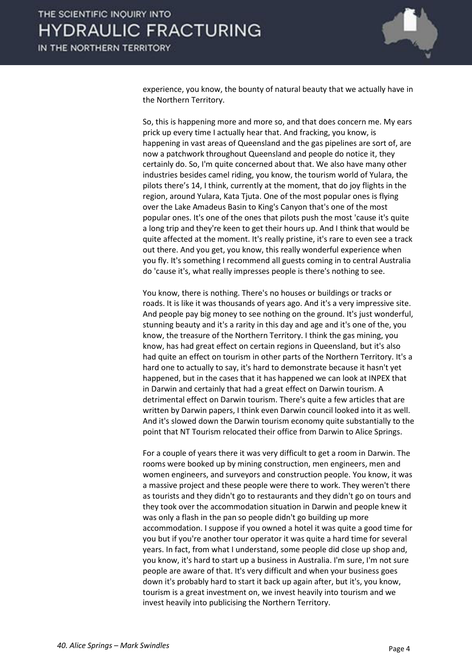

experience, you know, the bounty of natural beauty that we actually have in the Northern Territory.

 So, this is happening more and more so, and that does concern me. My ears prick up every time I actually hear that. And fracking, you know, is happening in vast areas of Queensland and the gas pipelines are sort of, are now a patchwork throughout Queensland and people do notice it, they certainly do. So, I'm quite concerned about that. We also have many other industries besides camel riding, you know, the tourism world of Yulara, the pilots there's 14, I think, currently at the moment, that do joy flights in the region, around Yulara, Kata Tjuta. One of the most popular ones is flying over the Lake Amadeus Basin to King's Canyon that's one of the most popular ones. It's one of the ones that pilots push the most 'cause it's quite a long trip and they're keen to get their hours up. And I think that would be quite affected at the moment. It's really pristine, it's rare to even see a track out there. And you get, you know, this really wonderful experience when you fly. It's something I recommend all guests coming in to central Australia do 'cause it's, what really impresses people is there's nothing to see.

 You know, there is nothing. There's no houses or buildings or tracks or roads. It is like it was thousands of years ago. And it's a very impressive site. And people pay big money to see nothing on the ground. It's just wonderful, stunning beauty and it's a rarity in this day and age and it's one of the, you know, the treasure of the Northern Territory. I think the gas mining, you know, has had great effect on certain regions in Queensland, but it's also had quite an effect on tourism in other parts of the Northern Territory. It's a hard one to actually to say, it's hard to demonstrate because it hasn't yet happened, but in the cases that it has happened we can look at INPEX that in Darwin and certainly that had a great effect on Darwin tourism. A detrimental effect on Darwin tourism. There's quite a few articles that are written by Darwin papers, I think even Darwin council looked into it as well. And it's slowed down the Darwin tourism economy quite substantially to the point that NT Tourism relocated their office from Darwin to Alice Springs.

 For a couple of years there it was very difficult to get a room in Darwin. The rooms were booked up by mining construction, men engineers, men and women engineers, and surveyors and construction people. You know, it was a massive project and these people were there to work. They weren't there as tourists and they didn't go to restaurants and they didn't go on tours and they took over the accommodation situation in Darwin and people knew it was only a flash in the pan so people didn't go building up more accommodation. I suppose if you owned a hotel it was quite a good time for you but if you're another tour operator it was quite a hard time for several years. In fact, from what I understand, some people did close up shop and, you know, it's hard to start up a business in Australia. I'm sure, I'm not sure people are aware of that. It's very difficult and when your business goes down it's probably hard to start it back up again after, but it's, you know, tourism is a great investment on, we invest heavily into tourism and we invest heavily into publicising the Northern Territory.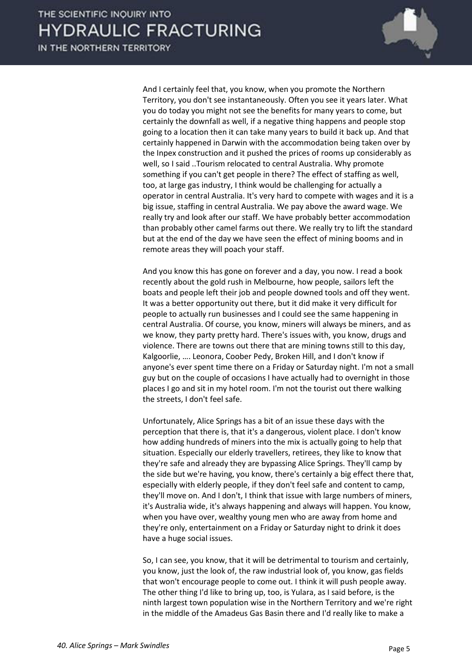

 And I certainly feel that, you know, when you promote the Northern Territory, you don't see instantaneously. Often you see it years later. What you do today you might not see the benefits for many years to come, but certainly the downfall as well, if a negative thing happens and people stop going to a location then it can take many years to build it back up. And that certainly happened in Darwin with the accommodation being taken over by the Inpex construction and it pushed the prices of rooms up considerably as well, so I said ..Tourism relocated to central Australia. Why promote something if you can't get people in there? The effect of staffing as well, too, at large gas industry, I think would be challenging for actually a operator in central Australia. It's very hard to compete with wages and it is a big issue, staffing in central Australia. We pay above the award wage. We really try and look after our staff. We have probably better accommodation than probably other camel farms out there. We really try to lift the standard but at the end of the day we have seen the effect of mining booms and in remote areas they will poach your staff.

 And you know this has gone on forever and a day, you now. I read a book recently about the gold rush in Melbourne, how people, sailors left the boats and people left their job and people downed tools and off they went. It was a better opportunity out there, but it did make it very difficult for people to actually run businesses and I could see the same happening in central Australia. Of course, you know, miners will always be miners, and as we know, they party pretty hard. There's issues with, you know, drugs and violence. There are towns out there that are mining towns still to this day, Kalgoorlie, .... Leonora, Coober Pedy, Broken Hill, and I don't know if anyone's ever spent time there on a Friday or Saturday night. I'm not a small guy but on the couple of occasions I have actually had to overnight in those places I go and sit in my hotel room. I'm not the tourist out there walking the streets, I don't feel safe.

 Unfortunately, Alice Springs has a bit of an issue these days with the perception that there is, that it's a dangerous, violent place. I don't know how adding hundreds of miners into the mix is actually going to help that situation. Especially our elderly travellers, retirees, they like to know that they're safe and already they are bypassing Alice Springs. They'll camp by the side but we're having, you know, there's certainly a big effect there that, especially with elderly people, if they don't feel safe and content to camp, they'll move on. And I don't, I think that issue with large numbers of miners, it's Australia wide, it's always happening and always will happen. You know, when you have over, wealthy young men who are away from home and they're only, entertainment on a Friday or Saturday night to drink it does have a huge social issues.

 So, I can see, you know, that it will be detrimental to tourism and certainly, you know, just the look of, the raw industrial look of, you know, gas fields that won't encourage people to come out. I think it will push people away. The other thing I'd like to bring up, too, is Yulara, as I said before, is the ninth largest town population wise in the Northern Territory and we're right in the middle of the Amadeus Gas Basin there and I'd really like to make a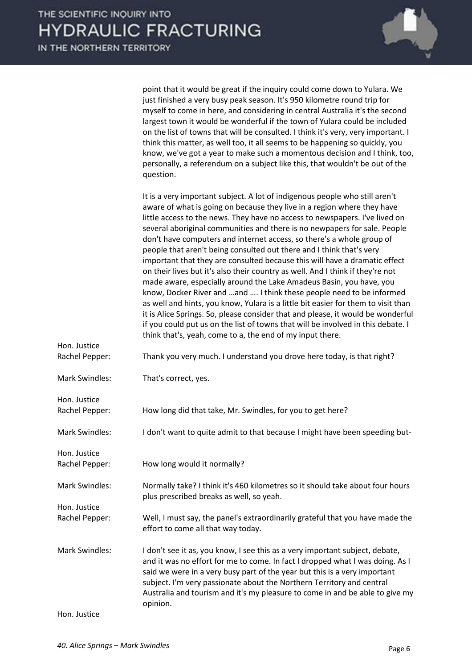

| <b>Mark Swindles:</b> | That's correct, yes.                                                                                                                                                                                                                                                                                                                                                                                                                                                                                                                                                                                                                                                                                                                                                                                                                                                                                                                                                                                                                                                                                                                                                                                                                                                                                                                                                                                                                                                                                                                                                                                                      |
|-----------------------|---------------------------------------------------------------------------------------------------------------------------------------------------------------------------------------------------------------------------------------------------------------------------------------------------------------------------------------------------------------------------------------------------------------------------------------------------------------------------------------------------------------------------------------------------------------------------------------------------------------------------------------------------------------------------------------------------------------------------------------------------------------------------------------------------------------------------------------------------------------------------------------------------------------------------------------------------------------------------------------------------------------------------------------------------------------------------------------------------------------------------------------------------------------------------------------------------------------------------------------------------------------------------------------------------------------------------------------------------------------------------------------------------------------------------------------------------------------------------------------------------------------------------------------------------------------------------------------------------------------------------|
| Rachel Pepper:        | Thank you very much. I understand you drove here today, is that right?                                                                                                                                                                                                                                                                                                                                                                                                                                                                                                                                                                                                                                                                                                                                                                                                                                                                                                                                                                                                                                                                                                                                                                                                                                                                                                                                                                                                                                                                                                                                                    |
| Hon. Justice          | myself to come in here, and considering in central Australia it's the second<br>largest town it would be wonderful if the town of Yulara could be included<br>on the list of towns that will be consulted. I think it's very, very important. I<br>think this matter, as well too, it all seems to be happening so quickly, you<br>know, we've got a year to make such a momentous decision and I think, too,<br>personally, a referendum on a subject like this, that wouldn't be out of the<br>question.<br>It is a very important subject. A lot of indigenous people who still aren't<br>aware of what is going on because they live in a region where they have<br>little access to the news. They have no access to newspapers. I've lived on<br>several aboriginal communities and there is no newpapers for sale. People<br>don't have computers and internet access, so there's a whole group of<br>people that aren't being consulted out there and I think that's very<br>important that they are consulted because this will have a dramatic effect<br>on their lives but it's also their country as well. And I think if they're not<br>made aware, especially around the Lake Amadeus Basin, you have, you<br>know, Docker River and and  I think these people need to be informed<br>as well and hints, you know, Yulara is a little bit easier for them to visit than<br>it is Alice Springs. So, please consider that and please, it would be wonderful<br>if you could put us on the list of towns that will be involved in this debate. I<br>think that's, yeah, come to a, the end of my input there. |
|                       | point that it would be great if the inquiry could come down to Yulara. We<br>just finished a very busy peak season. It's 950 kilometre round trip for                                                                                                                                                                                                                                                                                                                                                                                                                                                                                                                                                                                                                                                                                                                                                                                                                                                                                                                                                                                                                                                                                                                                                                                                                                                                                                                                                                                                                                                                     |

Hon. Justice

Rachel Pepper: How long did that take, Mr. Swindles, for you to get here?

Mark Swindles: I don't want to quite admit to that because I might have been speeding but-

Rachel Pepper: How long would it normally?

Mark Swindles: Normally take? I think it's 460 kilometres so it should take about four hours plus prescribed breaks as well, so yeah.

Rachel Pepper: Well, I must say, the panel's extraordinarily grateful that you have made the effort to come all that way today.

Mark Swindles: I don't see it as, you know, I see this as a very important subject, debate, and it was no effort for me to come. In fact I dropped what I was doing. As I said we were in a very busy part of the year but this is a very important subject. I'm very passionate about the Northern Territory and central Australia and tourism and it's my pleasure to come in and be able to give my opinion.

Hon. Justice

Hon. Justice

Hon. Justice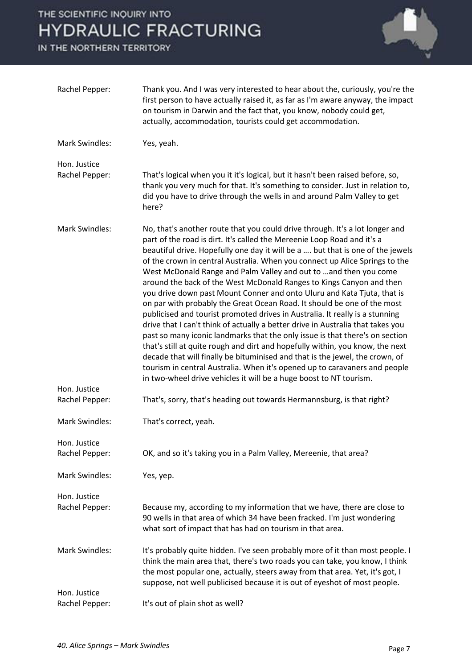

| Rachel Pepper:                        | Thank you. And I was very interested to hear about the, curiously, you're the<br>first person to have actually raised it, as far as I'm aware anyway, the impact<br>on tourism in Darwin and the fact that, you know, nobody could get,<br>actually, accommodation, tourists could get accommodation.                                                                                                                                                                                                                                                                                                                                                                                                                                                                                                                                                                                                                                                                                                                                                                                                                                                                                               |
|---------------------------------------|-----------------------------------------------------------------------------------------------------------------------------------------------------------------------------------------------------------------------------------------------------------------------------------------------------------------------------------------------------------------------------------------------------------------------------------------------------------------------------------------------------------------------------------------------------------------------------------------------------------------------------------------------------------------------------------------------------------------------------------------------------------------------------------------------------------------------------------------------------------------------------------------------------------------------------------------------------------------------------------------------------------------------------------------------------------------------------------------------------------------------------------------------------------------------------------------------------|
| <b>Mark Swindles:</b>                 | Yes, yeah.                                                                                                                                                                                                                                                                                                                                                                                                                                                                                                                                                                                                                                                                                                                                                                                                                                                                                                                                                                                                                                                                                                                                                                                          |
| Hon. Justice                          |                                                                                                                                                                                                                                                                                                                                                                                                                                                                                                                                                                                                                                                                                                                                                                                                                                                                                                                                                                                                                                                                                                                                                                                                     |
| Rachel Pepper:                        | That's logical when you it it's logical, but it hasn't been raised before, so,<br>thank you very much for that. It's something to consider. Just in relation to,<br>did you have to drive through the wells in and around Palm Valley to get<br>here?                                                                                                                                                                                                                                                                                                                                                                                                                                                                                                                                                                                                                                                                                                                                                                                                                                                                                                                                               |
| <b>Mark Swindles:</b><br>Hon. Justice | No, that's another route that you could drive through. It's a lot longer and<br>part of the road is dirt. It's called the Mereenie Loop Road and it's a<br>beautiful drive. Hopefully one day it will be a  but that is one of the jewels<br>of the crown in central Australia. When you connect up Alice Springs to the<br>West McDonald Range and Palm Valley and out to  and then you come<br>around the back of the West McDonald Ranges to Kings Canyon and then<br>you drive down past Mount Conner and onto Uluru and Kata Tjuta, that is<br>on par with probably the Great Ocean Road. It should be one of the most<br>publicised and tourist promoted drives in Australia. It really is a stunning<br>drive that I can't think of actually a better drive in Australia that takes you<br>past so many iconic landmarks that the only issue is that there's on section<br>that's still at quite rough and dirt and hopefully within, you know, the next<br>decade that will finally be bituminised and that is the jewel, the crown, of<br>tourism in central Australia. When it's opened up to caravaners and people<br>in two-wheel drive vehicles it will be a huge boost to NT tourism. |
| Rachel Pepper:                        | That's, sorry, that's heading out towards Hermannsburg, is that right?                                                                                                                                                                                                                                                                                                                                                                                                                                                                                                                                                                                                                                                                                                                                                                                                                                                                                                                                                                                                                                                                                                                              |
| <b>Mark Swindles:</b>                 | That's correct, yeah.                                                                                                                                                                                                                                                                                                                                                                                                                                                                                                                                                                                                                                                                                                                                                                                                                                                                                                                                                                                                                                                                                                                                                                               |
| Hon. Justice                          |                                                                                                                                                                                                                                                                                                                                                                                                                                                                                                                                                                                                                                                                                                                                                                                                                                                                                                                                                                                                                                                                                                                                                                                                     |
| Rachel Pepper:                        | OK, and so it's taking you in a Palm Valley, Mereenie, that area?                                                                                                                                                                                                                                                                                                                                                                                                                                                                                                                                                                                                                                                                                                                                                                                                                                                                                                                                                                                                                                                                                                                                   |
| <b>Mark Swindles:</b>                 | Yes, yep.                                                                                                                                                                                                                                                                                                                                                                                                                                                                                                                                                                                                                                                                                                                                                                                                                                                                                                                                                                                                                                                                                                                                                                                           |
| Hon. Justice                          |                                                                                                                                                                                                                                                                                                                                                                                                                                                                                                                                                                                                                                                                                                                                                                                                                                                                                                                                                                                                                                                                                                                                                                                                     |
| Rachel Pepper:                        | Because my, according to my information that we have, there are close to<br>90 wells in that area of which 34 have been fracked. I'm just wondering<br>what sort of impact that has had on tourism in that area.                                                                                                                                                                                                                                                                                                                                                                                                                                                                                                                                                                                                                                                                                                                                                                                                                                                                                                                                                                                    |
| <b>Mark Swindles:</b>                 | It's probably quite hidden. I've seen probably more of it than most people. I<br>think the main area that, there's two roads you can take, you know, I think<br>the most popular one, actually, steers away from that area. Yet, it's got, I<br>suppose, not well publicised because it is out of eyeshot of most people.                                                                                                                                                                                                                                                                                                                                                                                                                                                                                                                                                                                                                                                                                                                                                                                                                                                                           |
| Hon. Justice<br>Rachel Pepper:        | It's out of plain shot as well?                                                                                                                                                                                                                                                                                                                                                                                                                                                                                                                                                                                                                                                                                                                                                                                                                                                                                                                                                                                                                                                                                                                                                                     |
|                                       |                                                                                                                                                                                                                                                                                                                                                                                                                                                                                                                                                                                                                                                                                                                                                                                                                                                                                                                                                                                                                                                                                                                                                                                                     |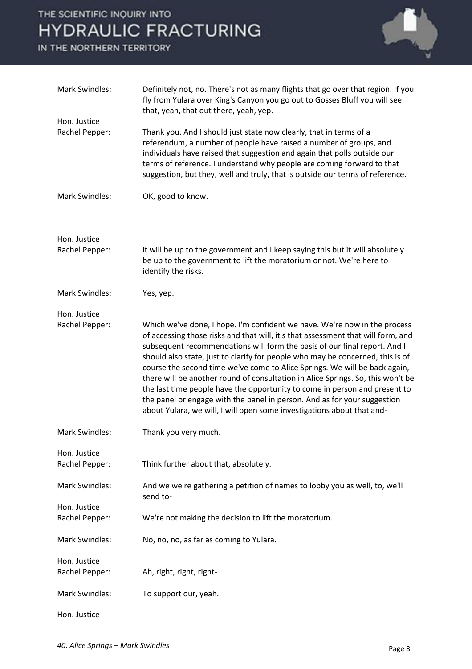

| <b>Mark Swindles:</b>          | Definitely not, no. There's not as many flights that go over that region. If you<br>fly from Yulara over King's Canyon you go out to Gosses Bluff you will see<br>that, yeah, that out there, yeah, yep.                                                                                                                                                                                                                                                                                                                                                                                                                                                                                                                          |
|--------------------------------|-----------------------------------------------------------------------------------------------------------------------------------------------------------------------------------------------------------------------------------------------------------------------------------------------------------------------------------------------------------------------------------------------------------------------------------------------------------------------------------------------------------------------------------------------------------------------------------------------------------------------------------------------------------------------------------------------------------------------------------|
| Hon. Justice                   |                                                                                                                                                                                                                                                                                                                                                                                                                                                                                                                                                                                                                                                                                                                                   |
| Rachel Pepper:                 | Thank you. And I should just state now clearly, that in terms of a<br>referendum, a number of people have raised a number of groups, and<br>individuals have raised that suggestion and again that polls outside our<br>terms of reference. I understand why people are coming forward to that<br>suggestion, but they, well and truly, that is outside our terms of reference.                                                                                                                                                                                                                                                                                                                                                   |
| <b>Mark Swindles:</b>          | OK, good to know.                                                                                                                                                                                                                                                                                                                                                                                                                                                                                                                                                                                                                                                                                                                 |
| Hon. Justice                   |                                                                                                                                                                                                                                                                                                                                                                                                                                                                                                                                                                                                                                                                                                                                   |
| Rachel Pepper:                 | It will be up to the government and I keep saying this but it will absolutely<br>be up to the government to lift the moratorium or not. We're here to<br>identify the risks.                                                                                                                                                                                                                                                                                                                                                                                                                                                                                                                                                      |
| <b>Mark Swindles:</b>          | Yes, yep.                                                                                                                                                                                                                                                                                                                                                                                                                                                                                                                                                                                                                                                                                                                         |
| Hon. Justice                   |                                                                                                                                                                                                                                                                                                                                                                                                                                                                                                                                                                                                                                                                                                                                   |
| Rachel Pepper:                 | Which we've done, I hope. I'm confident we have. We're now in the process<br>of accessing those risks and that will, it's that assessment that will form, and<br>subsequent recommendations will form the basis of our final report. And I<br>should also state, just to clarify for people who may be concerned, this is of<br>course the second time we've come to Alice Springs. We will be back again,<br>there will be another round of consultation in Alice Springs. So, this won't be<br>the last time people have the opportunity to come in person and present to<br>the panel or engage with the panel in person. And as for your suggestion<br>about Yulara, we will, I will open some investigations about that and- |
| <b>Mark Swindles:</b>          | Thank you very much.                                                                                                                                                                                                                                                                                                                                                                                                                                                                                                                                                                                                                                                                                                              |
| Hon. Justice<br>Rachel Pepper: | Think further about that, absolutely.                                                                                                                                                                                                                                                                                                                                                                                                                                                                                                                                                                                                                                                                                             |
| <b>Mark Swindles:</b>          | And we we're gathering a petition of names to lobby you as well, to, we'll<br>send to-                                                                                                                                                                                                                                                                                                                                                                                                                                                                                                                                                                                                                                            |
| Hon. Justice<br>Rachel Pepper: | We're not making the decision to lift the moratorium.                                                                                                                                                                                                                                                                                                                                                                                                                                                                                                                                                                                                                                                                             |
| <b>Mark Swindles:</b>          | No, no, no, as far as coming to Yulara.                                                                                                                                                                                                                                                                                                                                                                                                                                                                                                                                                                                                                                                                                           |
| Hon. Justice<br>Rachel Pepper: | Ah, right, right, right-                                                                                                                                                                                                                                                                                                                                                                                                                                                                                                                                                                                                                                                                                                          |
| <b>Mark Swindles:</b>          | To support our, yeah.                                                                                                                                                                                                                                                                                                                                                                                                                                                                                                                                                                                                                                                                                                             |
| Hon. Justice                   |                                                                                                                                                                                                                                                                                                                                                                                                                                                                                                                                                                                                                                                                                                                                   |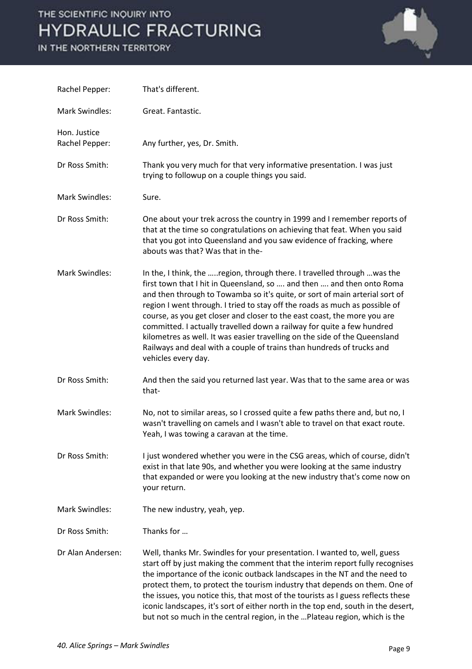

| Rachel Pepper:                 | That's different.                                                                                                                                                                                                                                                                                                                                                                                                                                                                                                                                                                                                                                   |
|--------------------------------|-----------------------------------------------------------------------------------------------------------------------------------------------------------------------------------------------------------------------------------------------------------------------------------------------------------------------------------------------------------------------------------------------------------------------------------------------------------------------------------------------------------------------------------------------------------------------------------------------------------------------------------------------------|
| <b>Mark Swindles:</b>          | Great. Fantastic.                                                                                                                                                                                                                                                                                                                                                                                                                                                                                                                                                                                                                                   |
| Hon. Justice<br>Rachel Pepper: | Any further, yes, Dr. Smith.                                                                                                                                                                                                                                                                                                                                                                                                                                                                                                                                                                                                                        |
| Dr Ross Smith:                 | Thank you very much for that very informative presentation. I was just<br>trying to followup on a couple things you said.                                                                                                                                                                                                                                                                                                                                                                                                                                                                                                                           |
| <b>Mark Swindles:</b>          | Sure.                                                                                                                                                                                                                                                                                                                                                                                                                                                                                                                                                                                                                                               |
| Dr Ross Smith:                 | One about your trek across the country in 1999 and I remember reports of<br>that at the time so congratulations on achieving that feat. When you said<br>that you got into Queensland and you saw evidence of fracking, where<br>abouts was that? Was that in the-                                                                                                                                                                                                                                                                                                                                                                                  |
| <b>Mark Swindles:</b>          | In the, I think, the region, through there. I travelled through  was the<br>first town that I hit in Queensland, so  and then  and then onto Roma<br>and then through to Towamba so it's quite, or sort of main arterial sort of<br>region I went through. I tried to stay off the roads as much as possible of<br>course, as you get closer and closer to the east coast, the more you are<br>committed. I actually travelled down a railway for quite a few hundred<br>kilometres as well. It was easier travelling on the side of the Queensland<br>Railways and deal with a couple of trains than hundreds of trucks and<br>vehicles every day. |
| Dr Ross Smith:                 | And then the said you returned last year. Was that to the same area or was<br>that-                                                                                                                                                                                                                                                                                                                                                                                                                                                                                                                                                                 |
| <b>Mark Swindles:</b>          | No, not to similar areas, so I crossed quite a few paths there and, but no, I<br>wasn't travelling on camels and I wasn't able to travel on that exact route.<br>Yeah, I was towing a caravan at the time.                                                                                                                                                                                                                                                                                                                                                                                                                                          |
| Dr Ross Smith:                 | I just wondered whether you were in the CSG areas, which of course, didn't<br>exist in that late 90s, and whether you were looking at the same industry<br>that expanded or were you looking at the new industry that's come now on<br>your return.                                                                                                                                                                                                                                                                                                                                                                                                 |
| <b>Mark Swindles:</b>          | The new industry, yeah, yep.                                                                                                                                                                                                                                                                                                                                                                                                                                                                                                                                                                                                                        |
| Dr Ross Smith:                 | Thanks for                                                                                                                                                                                                                                                                                                                                                                                                                                                                                                                                                                                                                                          |
| Dr Alan Andersen:              | Well, thanks Mr. Swindles for your presentation. I wanted to, well, guess<br>start off by just making the comment that the interim report fully recognises<br>the importance of the iconic outback landscapes in the NT and the need to<br>protect them, to protect the tourism industry that depends on them. One of<br>the issues, you notice this, that most of the tourists as I guess reflects these<br>iconic landscapes, it's sort of either north in the top end, south in the desert,<br>but not so much in the central region, in the  Plateau region, which is the                                                                       |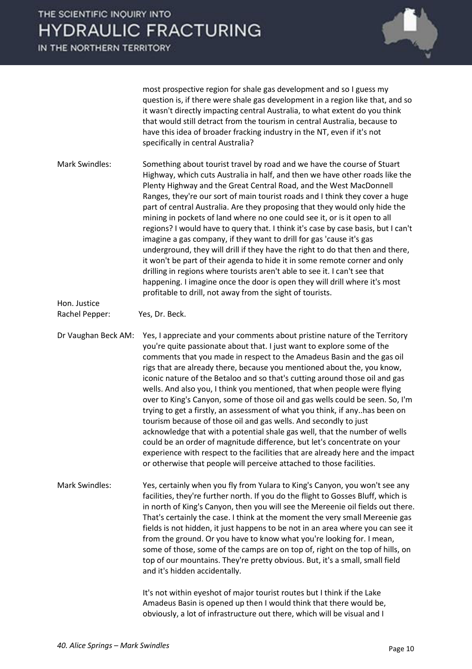IN THE NORTHERN TERRITORY



most prospective region for shale gas development and so I guess my question is, if there were shale gas development in a region like that, and so it wasn't directly impacting central Australia, to what extent do you think that would still detract from the tourism in central Australia, because to have this idea of broader fracking industry in the NT, even if it's not specifically in central Australia?

Mark Swindles: Something about tourist travel by road and we have the course of Stuart Highway, which cuts Australia in half, and then we have other roads like the Plenty Highway and the Great Central Road, and the West MacDonnell Ranges, they're our sort of main tourist roads and I think they cover a huge part of central Australia. Are they proposing that they would only hide the mining in pockets of land where no one could see it, or is it open to all regions? I would have to query that. I think it's case by case basis, but I can't imagine a gas company, if they want to drill for gas 'cause it's gas underground, they will drill if they have the right to do that then and there, it won't be part of their agenda to hide it in some remote corner and only drilling in regions where tourists aren't able to see it. I can't see that happening. I imagine once the door is open they will drill where it's most profitable to drill, not away from the sight of tourists.

Hon. Justice

Rachel Pepper: Yes, Dr. Beck.

Dr Vaughan Beck AM: Yes, I appreciate and your comments about pristine nature of the Territory you're quite passionate about that. I just want to explore some of the comments that you made in respect to the Amadeus Basin and the gas oil rigs that are already there, because you mentioned about the, you know, iconic nature of the Betaloo and so that's cutting around those oil and gas wells. And also you, I think you mentioned, that when people were flying over to King's Canyon, some of those oil and gas wells could be seen. So, I'm trying to get a firstly, an assessment of what you think, if any..has been on tourism because of those oil and gas wells. And secondly to just acknowledge that with a potential shale gas well, that the number of wells could be an order of magnitude difference, but let's concentrate on your experience with respect to the facilities that are already here and the impact or otherwise that people will perceive attached to those facilities.

Mark Swindles: Yes, certainly when you fly from Yulara to King's Canyon, you won't see any facilities, they're further north. If you do the flight to Gosses Bluff, which is in north of King's Canyon, then you will see the Mereenie oil fields out there. That's certainly the case. I think at the moment the very small Mereenie gas fields is not hidden, it just happens to be not in an area where you can see it from the ground. Or you have to know what you're looking for. I mean, some of those, some of the camps are on top of, right on the top of hills, on top of our mountains. They're pretty obvious. But, it's a small, small field and it's hidden accidentally.

> It's not within eyeshot of major tourist routes but I think if the Lake Amadeus Basin is opened up then I would think that there would be, obviously, a lot of infrastructure out there, which will be visual and I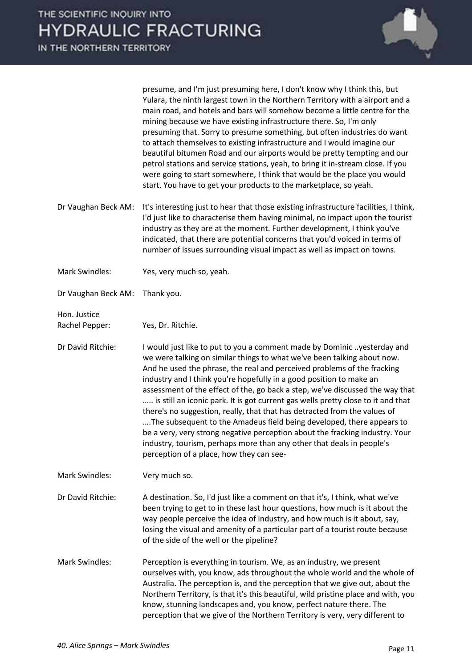

presume, and I'm just presuming here, I don't know why I think this, but Yulara, the ninth largest town in the Northern Territory with a airport and a main road, and hotels and bars will somehow become a little centre for the mining because we have existing infrastructure there. So, I'm only presuming that. Sorry to presume something, but often industries do want to attach themselves to existing infrastructure and I would imagine our beautiful bitumen Road and our airports would be pretty tempting and our petrol stations and service stations, yeah, to bring it in-stream close. If you were going to start somewhere, I think that would be the place you would start. You have to get your products to the marketplace, so yeah.

- Dr Vaughan Beck AM: It's interesting just to hear that those existing infrastructure facilities, I think, I'd just like to characterise them having minimal, no impact upon the tourist industry as they are at the moment. Further development, I think you've indicated, that there are potential concerns that you'd voiced in terms of number of issues surrounding visual impact as well as impact on towns.
- Mark Swindles: Yes, very much so, yeah.
- Dr Vaughan Beck AM: Thank you.

Hon. Justice

Rachel Pepper: Yes, Dr. Ritchie.

Dr David Ritchie: I would just like to put to you a comment made by Dominic ..yesterday and we were talking on similar things to what we've been talking about now. And he used the phrase, the real and perceived problems of the fracking industry and I think you're hopefully in a good position to make an assessment of the effect of the, go back a step, we've discussed the way that ..... is still an iconic park. It is got current gas wells pretty close to it and that there's no suggestion, really, that that has detracted from the values of ….The subsequent to the Amadeus field being developed, there appears to be a very, very strong negative perception about the fracking industry. Your industry, tourism, perhaps more than any other that deals in people's perception of a place, how they can see-

Mark Swindles: Very much so.

Dr David Ritchie: A destination. So, I'd just like a comment on that it's, I think, what we've been trying to get to in these last hour questions, how much is it about the way people perceive the idea of industry, and how much is it about, say, losing the visual and amenity of a particular part of a tourist route because of the side of the well or the pipeline?

Mark Swindles: Perception is everything in tourism. We, as an industry, we present ourselves with, you know, ads throughout the whole world and the whole of Australia. The perception is, and the perception that we give out, about the Northern Territory, is that it's this beautiful, wild pristine place and with, you know, stunning landscapes and, you know, perfect nature there. The perception that we give of the Northern Territory is very, very different to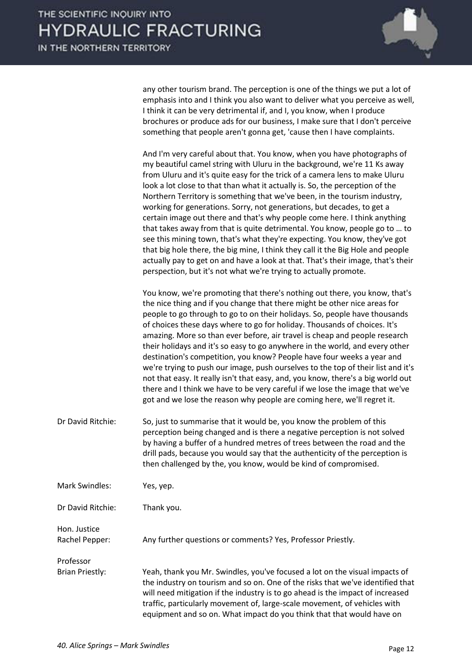

any other tourism brand. The perception is one of the things we put a lot of emphasis into and I think you also want to deliver what you perceive as well, I think it can be very detrimental if, and I, you know, when I produce brochures or produce ads for our business, I make sure that I don't perceive something that people aren't gonna get, 'cause then I have complaints.

| And I'm very careful about that. You know, when you have photographs of          |
|----------------------------------------------------------------------------------|
| my beautiful camel string with Uluru in the background, we're 11 Ks away         |
| from Uluru and it's quite easy for the trick of a camera lens to make Uluru      |
| look a lot close to that than what it actually is. So, the perception of the     |
| Northern Territory is something that we've been, in the tourism industry,        |
| working for generations. Sorry, not generations, but decades, to get a           |
| certain image out there and that's why people come here. I think anything        |
| that takes away from that is quite detrimental. You know, people go to  to       |
| see this mining town, that's what they're expecting. You know, they've got       |
| that big hole there, the big mine, I think they call it the Big Hole and people  |
| actually pay to get on and have a look at that. That's their image, that's their |
| perspection, but it's not what we're trying to actually promote.                 |

 You know, we're promoting that there's nothing out there, you know, that's the nice thing and if you change that there might be other nice areas for people to go through to go to on their holidays. So, people have thousands of choices these days where to go for holiday. Thousands of choices. It's amazing. More so than ever before, air travel is cheap and people research their holidays and it's so easy to go anywhere in the world, and every other destination's competition, you know? People have four weeks a year and we're trying to push our image, push ourselves to the top of their list and it's not that easy. It really isn't that easy, and, you know, there's a big world out there and I think we have to be very careful if we lose the image that we've got and we lose the reason why people are coming here, we'll regret it.

Dr David Ritchie: So, just to summarise that it would be, you know the problem of this perception being changed and is there a negative perception is not solved by having a buffer of a hundred metres of trees between the road and the drill pads, because you would say that the authenticity of the perception is then challenged by the, you know, would be kind of compromised.

Mark Swindles: Yes, yep.

Dr David Ritchie: Thank you.

Hon. Justice

Rachel Pepper: Any further questions or comments? Yes, Professor Priestly.

Professor Brian Priestly: Yeah, thank you Mr. Swindles, you've focused a lot on the visual impacts of the industry on tourism and so on. One of the risks that we've identified that will need mitigation if the industry is to go ahead is the impact of increased traffic, particularly movement of, large-scale movement, of vehicles with equipment and so on. What impact do you think that that would have on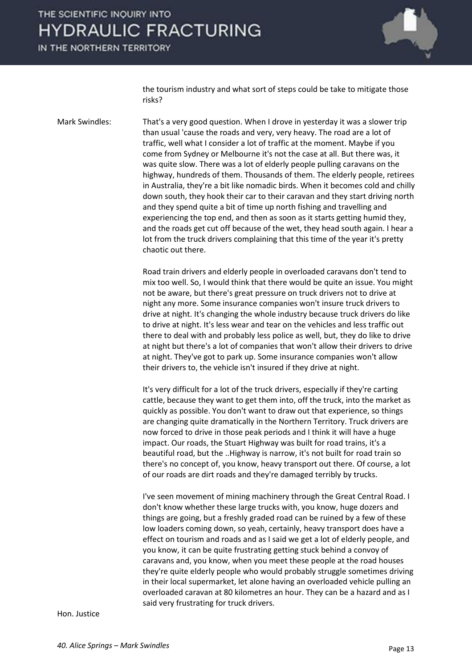IN THE NORTHERN TERRITORY



the tourism industry and what sort of steps could be take to mitigate those risks?

Mark Swindles: That's a very good question. When I drove in yesterday it was a slower trip than usual 'cause the roads and very, very heavy. The road are a lot of traffic, well what I consider a lot of traffic at the moment. Maybe if you come from Sydney or Melbourne it's not the case at all. But there was, it was quite slow. There was a lot of elderly people pulling caravans on the highway, hundreds of them. Thousands of them. The elderly people, retirees in Australia, they're a bit like nomadic birds. When it becomes cold and chilly down south, they hook their car to their caravan and they start driving north and they spend quite a bit of time up north fishing and travelling and experiencing the top end, and then as soon as it starts getting humid they, and the roads get cut off because of the wet, they head south again. I hear a lot from the truck drivers complaining that this time of the year it's pretty chaotic out there.

> Road train drivers and elderly people in overloaded caravans don't tend to mix too well. So, I would think that there would be quite an issue. You might not be aware, but there's great pressure on truck drivers not to drive at night any more. Some insurance companies won't insure truck drivers to drive at night. It's changing the whole industry because truck drivers do like to drive at night. It's less wear and tear on the vehicles and less traffic out there to deal with and probably less police as well, but, they do like to drive at night but there's a lot of companies that won't allow their drivers to drive at night. They've got to park up. Some insurance companies won't allow their drivers to, the vehicle isn't insured if they drive at night.

> It's very difficult for a lot of the truck drivers, especially if they're carting cattle, because they want to get them into, off the truck, into the market as quickly as possible. You don't want to draw out that experience, so things are changing quite dramatically in the Northern Territory. Truck drivers are now forced to drive in those peak periods and I think it will have a huge impact. Our roads, the Stuart Highway was built for road trains, it's a beautiful road, but the ..Highway is narrow, it's not built for road train so there's no concept of, you know, heavy transport out there. Of course, a lot of our roads are dirt roads and they're damaged terribly by trucks.

 I've seen movement of mining machinery through the Great Central Road. I don't know whether these large trucks with, you know, huge dozers and things are going, but a freshly graded road can be ruined by a few of these low loaders coming down, so yeah, certainly, heavy transport does have a effect on tourism and roads and as I said we get a lot of elderly people, and you know, it can be quite frustrating getting stuck behind a convoy of caravans and, you know, when you meet these people at the road houses they're quite elderly people who would probably struggle sometimes driving in their local supermarket, let alone having an overloaded vehicle pulling an overloaded caravan at 80 kilometres an hour. They can be a hazard and as I said very frustrating for truck drivers.

Hon. Justice